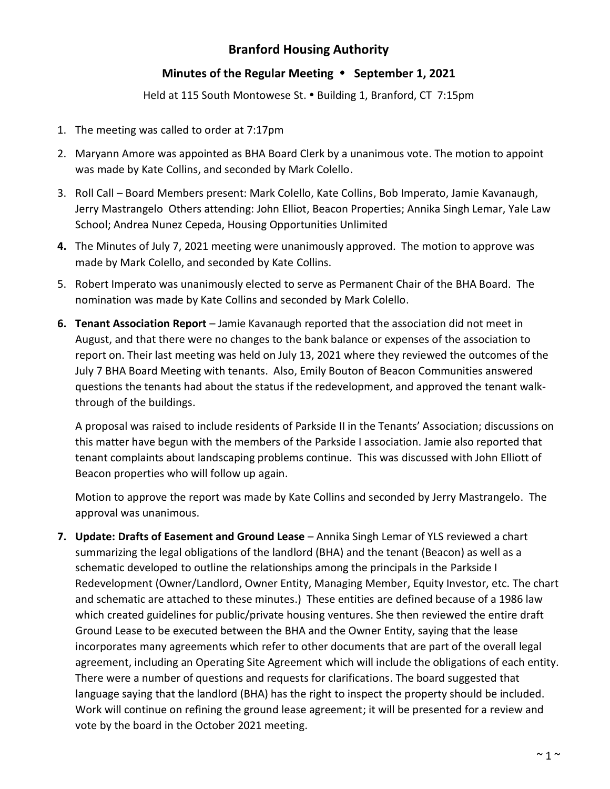## **Branford Housing Authority**

## Minutes of the Regular Meeting • September 1, 2021

Held at 115 South Montowese St. . Building 1, Branford, CT 7:15pm

- 1. The meeting was called to order at 7:17pm
- 2. Maryann Amore was appointed as BHA Board Clerk by a unanimous vote. The motion to appoint was made by Kate Collins, and seconded by Mark Colello.
- 3. Roll Call Board Members present: Mark Colello, Kate Collins, Bob Imperato, Jamie Kavanaugh, Jerry Mastrangelo Others attending: John Elliot, Beacon Properties; Annika Singh Lemar, Yale Law School; Andrea Nunez Cepeda, Housing Opportunities Unlimited
- **4.** The Minutes of July 7, 2021 meeting were unanimously approved. The motion to approve was made by Mark Colello, and seconded by Kate Collins.
- 5. Robert Imperato was unanimously elected to serve as Permanent Chair of the BHA Board. The nomination was made by Kate Collins and seconded by Mark Colello.
- **6. Tenant Association Report** Jamie Kavanaugh reported that the association did not meet in August, and that there were no changes to the bank balance or expenses of the association to report on. Their last meeting was held on July 13, 2021 where they reviewed the outcomes of the July 7 BHA Board Meeting with tenants. Also, Emily Bouton of Beacon Communities answered questions the tenants had about the status if the redevelopment, and approved the tenant walkthrough of the buildings.

A proposal was raised to include residents of Parkside II in the Tenants' Association; discussions on this matter have begun with the members of the Parkside I association. Jamie also reported that tenant complaints about landscaping problems continue. This was discussed with John Elliott of Beacon properties who will follow up again.

Motion to approve the report was made by Kate Collins and seconded by Jerry Mastrangelo. The approval was unanimous.

**7. Update: Drafts of Easement and Ground Lease** – Annika Singh Lemar of YLS reviewed a chart summarizing the legal obligations of the landlord (BHA) and the tenant (Beacon) as well as a schematic developed to outline the relationships among the principals in the Parkside I Redevelopment (Owner/Landlord, Owner Entity, Managing Member, Equity Investor, etc. The chart and schematic are attached to these minutes.) These entities are defined because of a 1986 law which created guidelines for public/private housing ventures. She then reviewed the entire draft Ground Lease to be executed between the BHA and the Owner Entity, saying that the lease incorporates many agreements which refer to other documents that are part of the overall legal agreement, including an Operating Site Agreement which will include the obligations of each entity. There were a number of questions and requests for clarifications. The board suggested that language saying that the landlord (BHA) has the right to inspect the property should be included. Work will continue on refining the ground lease agreement; it will be presented for a review and vote by the board in the October 2021 meeting.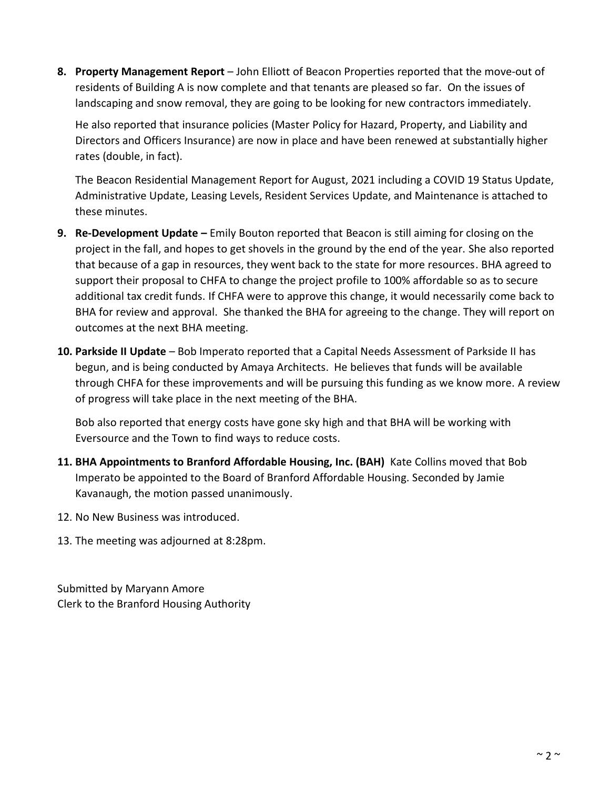**8. Property Management Report** – John Elliott of Beacon Properties reported that the move-out of residents of Building A is now complete and that tenants are pleased so far. On the issues of landscaping and snow removal, they are going to be looking for new contractors immediately.

He also reported that insurance policies (Master Policy for Hazard, Property, and Liability and Directors and Officers Insurance) are now in place and have been renewed at substantially higher rates (double, in fact).

The Beacon Residential Management Report for August, 2021 including a COVID 19 Status Update, Administrative Update, Leasing Levels, Resident Services Update, and Maintenance is attached to these minutes.

- **9.** Re-Development Update Emily Bouton reported that Beacon is still aiming for closing on the project in the fall, and hopes to get shovels in the ground by the end of the year. She also reported that because of a gap in resources, they went back to the state for more resources. BHA agreed to support their proposal to CHFA to change the project profile to 100% affordable so as to secure additional tax credit funds. If CHFA were to approve this change, it would necessarily come back to BHA for review and approval. She thanked the BHA for agreeing to the change. They will report on outcomes at the next BHA meeting.
- **10. Parkside II Update** Bob Imperato reported that a Capital Needs Assessment of Parkside II has begun, and is being conducted by Amaya Architects. He believes that funds will be available through CHFA for these improvements and will be pursuing this funding as we know more. A review of progress will take place in the next meeting of the BHA.

Bob also reported that energy costs have gone sky high and that BHA will be working with Eversource and the Town to find ways to reduce costs.

- **11. BHA Appointments to Branford Affordable Housing, Inc. (BAH)** Kate Collins moved that Bob Imperato be appointed to the Board of Branford Affordable Housing. Seconded by Jamie Kavanaugh, the motion passed unanimously.
- 12. No New Business was introduced.
- 13. The meeting was adjourned at 8:28pm.

Submitted by Maryann Amore Clerk to the Branford Housing Authority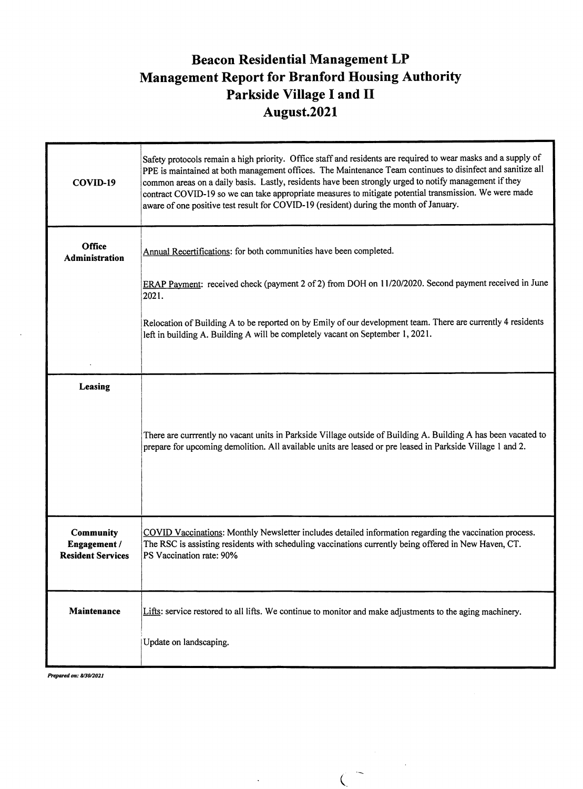## **Beacon Residential Management LP Management Report for Branford Housing Authority** Parkside Village I and II August.2021

| COVID-19                                              | Safety protocols remain a high priority. Office staff and residents are required to wear masks and a supply of<br>PPE is maintained at both management offices. The Maintenance Team continues to disinfect and sanitize all<br>common areas on a daily basis. Lastly, residents have been strongly urged to notify management if they<br>contract COVID-19 so we can take appropriate measures to mitigate potential transmission. We were made<br>aware of one positive test result for COVID-19 (resident) during the month of January. |
|-------------------------------------------------------|--------------------------------------------------------------------------------------------------------------------------------------------------------------------------------------------------------------------------------------------------------------------------------------------------------------------------------------------------------------------------------------------------------------------------------------------------------------------------------------------------------------------------------------------|
| Office<br><b>Administration</b>                       | Annual Recertifications: for both communities have been completed.<br>ERAP Payment: received check (payment 2 of 2) from DOH on 11/20/2020. Second payment received in June<br>2021.<br>Relocation of Building A to be reported on by Emily of our development team. There are currently 4 residents<br>left in building A. Building A will be completely vacant on September 1, 2021.                                                                                                                                                     |
| Leasing                                               | There are currrently no vacant units in Parkside Village outside of Building A. Building A has been vacated to<br>prepare for upcoming demolition. All available units are leased or pre leased in Parkside Village 1 and 2.                                                                                                                                                                                                                                                                                                               |
| Community<br>Engagement /<br><b>Resident Services</b> | COVID Vaccinations: Monthly Newsletter includes detailed information regarding the vaccination process.<br>The RSC is assisting residents with scheduling vaccinations currently being offered in New Haven, CT.<br>PS Vaccination rate: 90%                                                                                                                                                                                                                                                                                               |
| Maintenance                                           | Lifts: service restored to all lifts. We continue to monitor and make adjustments to the aging machinery.<br>Update on landscaping.                                                                                                                                                                                                                                                                                                                                                                                                        |

 $\zeta$ 

 $\ddot{\phantom{0}}$ 

 $\sim$  .

Prepared on: 8/30/2021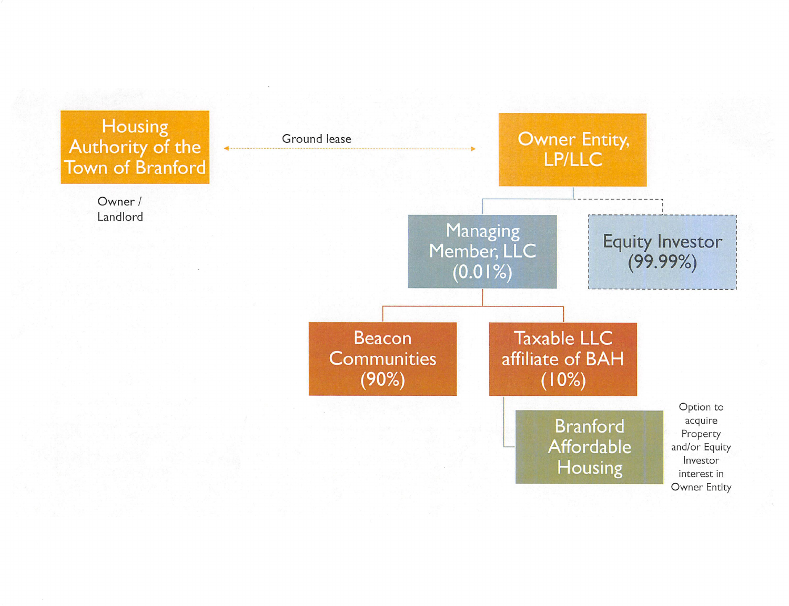